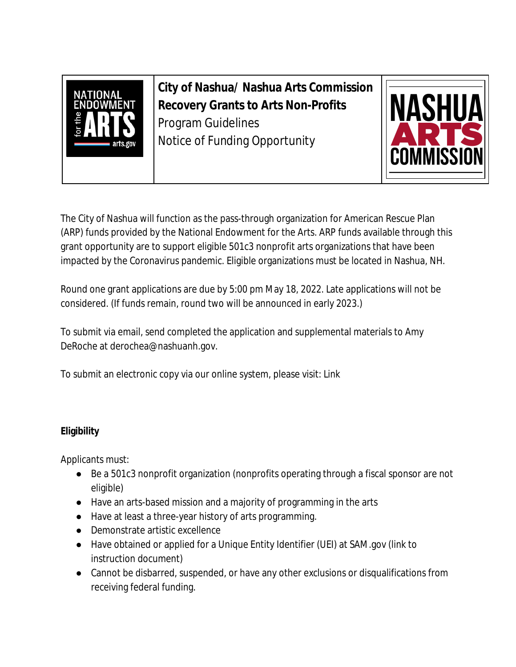

**City of Nashua/ Nashua Arts Commission Recovery Grants to Arts Non-Profits**  Program Guidelines Notice of Funding Opportunity



The City of Nashua will function as the pass-through organization for American Rescue Plan (ARP) funds provided by the National Endowment for the Arts. ARP funds available through this grant opportunity are to support eligible 501c3 nonprofit arts organizations that have been impacted by the Coronavirus pandemic. Eligible organizations must be located in Nashua, NH.

Round one grant applications are due by 5:00 pm May 18, 2022. Late applications will not be considered. (If funds remain, round two will be announced in early 2023.)

To submit via email, send completed the application and supplemental materials to Amy DeRoche at derochea@nashuanh.gov.

To submit an electronic copy via our online system, please visit: Link

# **Eligibility**

Applicants must:

- Be a 501c3 nonprofit organization (nonprofits operating through a fiscal sponsor are not eligible)
- Have an arts-based mission and a majority of programming in the arts
- Have at least a three-year history of arts programming.
- Demonstrate artistic excellence
- Have obtained or applied for a Unique Entity Identifier (UEI) at SAM.gov (link to instruction document)
- Cannot be disbarred, suspended, or have any other exclusions or disqualifications from receiving federal funding.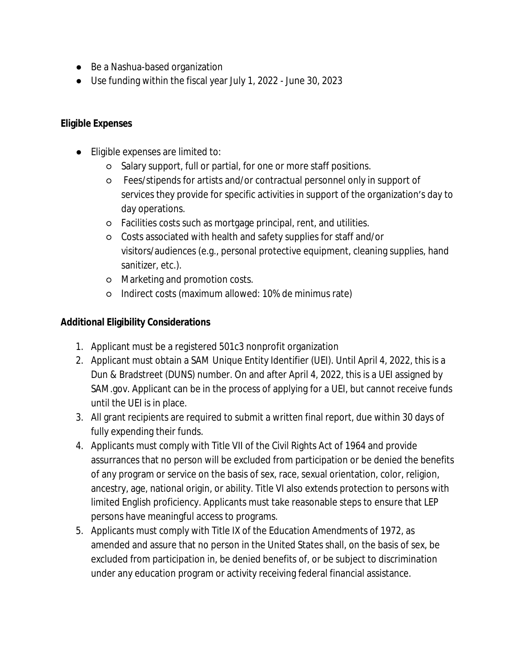- Be a Nashua-based organization
- Use funding within the fiscal year July 1, 2022 June 30, 2023

## **Eligible Expenses**

- Eligible expenses are limited to:
	- Salary support, full or partial, for one or more staff positions.
	- Fees/stipends for artists and/or contractual personnel only in support of services they provide for specific activities in support of the organization's day to day operations.
	- Facilities costs such as mortgage principal, rent, and utilities.
	- Costs associated with health and safety supplies for staff and/or visitors/audiences (e.g., personal protective equipment, cleaning supplies, hand sanitizer, etc.).
	- Marketing and promotion costs.
	- Indirect costs (maximum allowed: 10% de minimus rate)

### **Additional Eligibility Considerations**

- 1. Applicant must be a registered 501c3 nonprofit organization
- 2. Applicant must obtain a SAM Unique Entity Identifier (UEI). Until April 4, 2022, this is a Dun & Bradstreet (DUNS) number. On and after April 4, 2022, this is a UEI assigned by SAM.gov. Applicant can be in the process of applying for a UEI, but cannot receive funds until the UEI is in place.
- 3. All grant recipients are required to submit a written final report, due within 30 days of fully expending their funds.
- 4. Applicants must comply with Title VII of the Civil Rights Act of 1964 and provide assurrances that no person will be excluded from participation or be denied the benefits of any program or service on the basis of sex, race, sexual orientation, color, religion, ancestry, age, national origin, or ability. Title VI also extends protection to persons with limited English proficiency. Applicants must take reasonable steps to ensure that LEP persons have meaningful access to programs.
- 5. Applicants must comply with Title IX of the Education Amendments of 1972, as amended and assure that no person in the United States shall, on the basis of sex, be excluded from participation in, be denied benefits of, or be subject to discrimination under any education program or activity receiving federal financial assistance.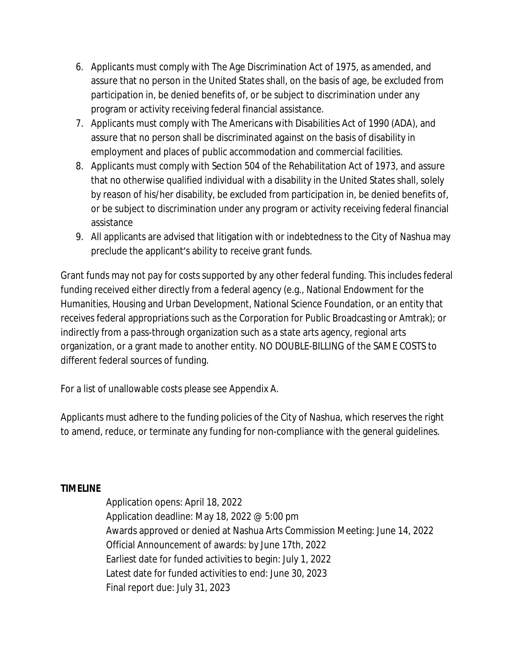- 6. Applicants must comply with The Age Discrimination Act of 1975, as amended, and assure that no person in the United States shall, on the basis of age, be excluded from participation in, be denied benefits of, or be subject to discrimination under any program or activity receiving federal financial assistance.
- 7. Applicants must comply with The Americans with Disabilities Act of 1990 (ADA), and assure that no person shall be discriminated against on the basis of disability in employment and places of public accommodation and commercial facilities.
- 8. Applicants must comply with Section 504 of the Rehabilitation Act of 1973, and assure that no otherwise qualified individual with a disability in the United States shall, solely by reason of his/her disability, be excluded from participation in, be denied benefits of, or be subject to discrimination under any program or activity receiving federal financial assistance
- 9. All applicants are advised that litigation with or indebtedness to the City of Nashua may preclude the applicant's ability to receive grant funds.

Grant funds may not pay for costs supported by any other federal funding. This includes federal funding received either directly from a federal agency (e.g., National Endowment for the Humanities, Housing and Urban Development, National Science Foundation, or an entity that receives federal appropriations such as the Corporation for Public Broadcasting or Amtrak); or indirectly from a pass-through organization such as a state arts agency, regional arts organization, or a grant made to another entity. NO DOUBLE-BILLING of the SAME COSTS to different federal sources of funding.

For a list of unallowable costs please see Appendix A.

Applicants must adhere to the funding policies of the City of Nashua, which reserves the right to amend, reduce, or terminate any funding for non-compliance with the general guidelines.

#### **TIMELINE**

Application opens: April 18, 2022 Application deadline: May 18, 2022 @ 5:00 pm Awards approved or denied at Nashua Arts Commission Meeting: June 14, 2022 Official Announcement of awards: by June 17th, 2022 Earliest date for funded activities to begin: July 1, 2022 Latest date for funded activities to end: June 30, 2023 Final report due: July 31, 2023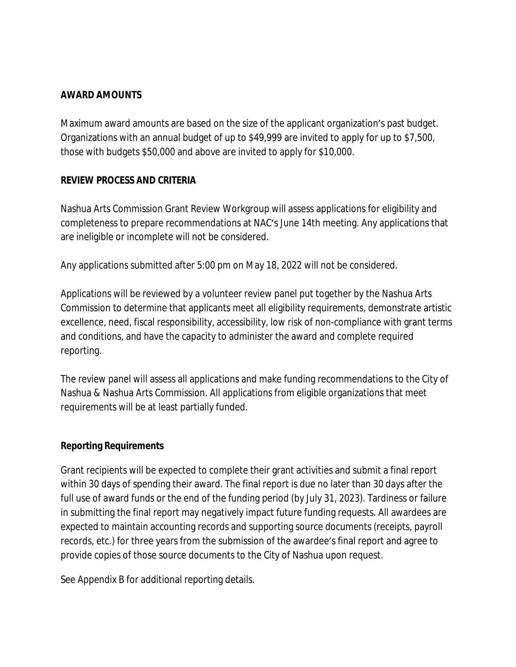#### **AWARD AMOUNTS**

Maximum award amounts are based on the size of the applicant organization's past budget. Organizations with an annual budget of up to \$49,999 are invited to apply for up to \$7,500, those with budgets \$50,000 and above are invited to apply for \$10,000.

#### **REVIEW PROCESS AND CRITERIA**

Nashua Arts Commission Grant Review Workgroup will assess applications for eligibility and completeness to prepare recommendations at NAC's June 14th meeting. Any applications that are ineligible or incomplete will not be considered.

Any applications submitted after 5:00 pm on May 18, 2022 will not be considered.

Applications will be reviewed by a volunteer review panel put together by the Nashua Arts Commission to determine that applicants meet all eligibility requirements, demonstrate artistic excellence, need, fiscal responsibility, accessibility, low risk of non-compliance with grant terms and conditions, and have the capacity to administer the award and complete required reporting.

The review panel will assess all applications and make funding recommendations to the City of Nashua & Nashua Arts Commission. All applications from eligible organizations that meet requirements will be at least partially funded.

#### **Reporting Requirements**

Grant recipients will be expected to complete their grant activities and submit a final report within 30 days of spending their award. The final report is due no later than 30 days after the full use of award funds or the end of the funding period (by July 31, 2023). Tardiness or failure in submitting the final report may negatively impact future funding requests. All awardees are expected to maintain accounting records and supporting source documents (receipts, payroll records, etc.) for three years from the submission of the awardee's final report and agree to provide copies of those source documents to the City of Nashua upon request.

See Appendix B for additional reporting details.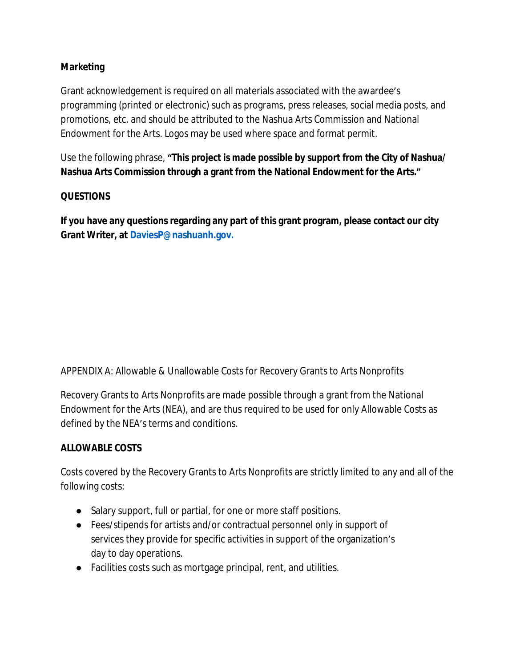# **Marketing**

Grant acknowledgement is required on all materials associated with the awardee's programming (printed or electronic) such as programs, press releases, social media posts, and promotions, etc. and should be attributed to the Nashua Arts Commission and National Endowment for the Arts. Logos may be used where space and format permit.

Use the following phrase, **"This project is made possible by support from the City of Nashua/ Nashua Arts Commission through a grant from the National Endowment for the Arts."**

#### **QUESTIONS**

**If you have any questions regarding any part of this grant program, please contact our city Grant Writer, at DaviesP@nashuanh.gov.**

APPENDIX A: Allowable & Unallowable Costs for Recovery Grants to Arts Nonprofits

Recovery Grants to Arts Nonprofits are made possible through a grant from the National Endowment for the Arts (NEA), and are thus required to be used for only Allowable Costs as defined by the NEA's terms and conditions.

#### **ALLOWABLE COSTS**

Costs covered by the Recovery Grants to Arts Nonprofits are strictly limited to any and all of the following costs:

- Salary support, full or partial, for one or more staff positions.
- Fees/stipends for artists and/or contractual personnel only in support of services they provide for specific activities in support of the organization's day to day operations.
- Facilities costs such as mortgage principal, rent, and utilities.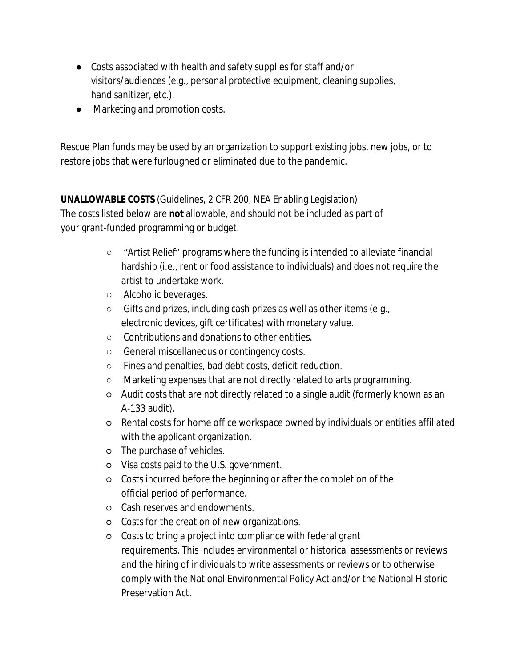- Costs associated with health and safety supplies for staff and/or visitors/audiences (e.g., personal protective equipment, cleaning supplies, hand sanitizer, etc.).
- Marketing and promotion costs.

Rescue Plan funds may be used by an organization to support existing jobs, new jobs, or to restore jobs that were furloughed or eliminated due to the pandemic.

**UNALLOWABLE COSTS** (Guidelines, 2 CFR 200, NEA Enabling Legislation) The costs listed below are **not** allowable, and should not be included as part of your grant-funded programming or budget.

- "Artist Relief" programs where the funding is intended to alleviate financial hardship (i.e., rent or food assistance to individuals) and does not require the artist to undertake work.
- Alcoholic beverages.
- Gifts and prizes, including cash prizes as well as other items (e.g., electronic devices, gift certificates) with monetary value.
- Contributions and donations to other entities.
- General miscellaneous or contingency costs.
- Fines and penalties, bad debt costs, deficit reduction.
- Marketing expenses that are not directly related to arts programming.
- Audit costs that are not directly related to a single audit (formerly known as an A-133 audit).
- Rental costs for home office workspace owned by individuals or entities affiliated with the applicant organization.
- o The purchase of vehicles.
- Visa costs paid to the U.S. government.
- Costs incurred before the beginning or after the completion of the official period of performance.
- Cash reserves and endowments.
- Costs for the creation of new organizations.
- Costs to bring a project into compliance with federal grant requirements. This includes environmental or historical assessments or reviews and the hiring of individuals to write assessments or reviews or to otherwise comply with the National Environmental Policy Act and/or the National Historic Preservation Act.